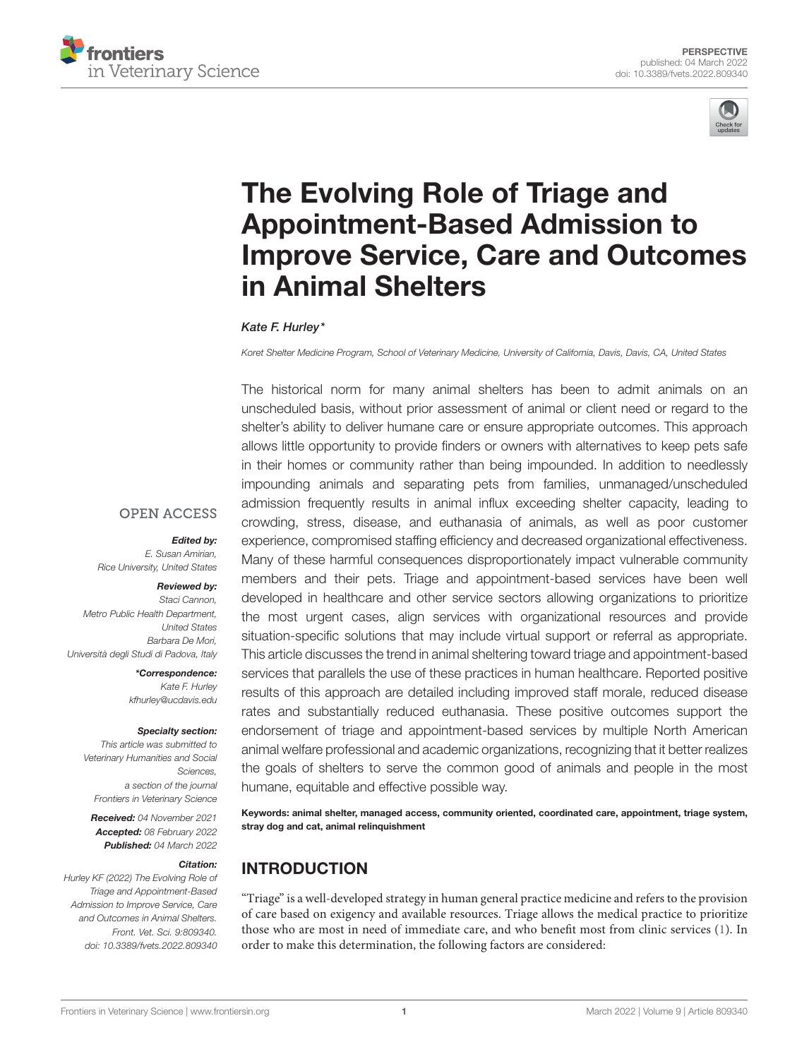



# The Evolving Role of Triage and Appointment-Based Admission to [Improve Service, Care and Outcomes](https://www.frontiersin.org/articles/10.3389/fvets.2022.809340/full) in Animal Shelters

#### Kate F. Hurley\*

Koret Shelter Medicine Program, School of Veterinary Medicine, University of California, Davis, Davis, CA, United States

The historical norm for many animal shelters has been to admit animals on an unscheduled basis, without prior assessment of animal or client need or regard to the shelter's ability to deliver humane care or ensure appropriate outcomes. This approach allows little opportunity to provide finders or owners with alternatives to keep pets safe in their homes or community rather than being impounded. In addition to needlessly impounding animals and separating pets from families, unmanaged/unscheduled admission frequently results in animal influx exceeding shelter capacity, leading to crowding, stress, disease, and euthanasia of animals, as well as poor customer experience, compromised staffing efficiency and decreased organizational effectiveness. Many of these harmful consequences disproportionately impact vulnerable community members and their pets. Triage and appointment-based services have been well developed in healthcare and other service sectors allowing organizations to prioritize the most urgent cases, align services with organizational resources and provide situation-specific solutions that may include virtual support or referral as appropriate. This article discusses the trend in animal sheltering toward triage and appointment-based services that parallels the use of these practices in human healthcare. Reported positive results of this approach are detailed including improved staff morale, reduced disease rates and substantially reduced euthanasia. These positive outcomes support the endorsement of triage and appointment-based services by multiple North American animal welfare professional and academic organizations, recognizing that it better realizes the goals of shelters to serve the common good of animals and people in the most humane, equitable and effective possible way.

Keywords: animal shelter, managed access, community oriented, coordinated care, appointment, triage system, stray dog and cat, animal relinquishment

# INTRODUCTION

"Triage" is a well-developed strategy in human general practice medicine and refers to the provision of care based on exigency and available resources. Triage allows the medical practice to prioritize those who are most in need of immediate care, and who benefit most from clinic services [\(1\)](#page-3-0). In order to make this determination, the following factors are considered:

#### **OPEN ACCESS**

#### Edited by:

E. Susan Amirian, Rice University, United States

#### Reviewed by:

Staci Cannon, Metro Public Health Department, United States Barbara De Mori, Università degli Studi di Padova, Italy

> \*Correspondence: Kate F. Hurley [kfhurley@ucdavis.edu](mailto:kfhurley@ucdavis.edu)

#### Specialty section:

This article was submitted to Veterinary Humanities and Social Sciences, a section of the journal Frontiers in Veterinary Science

Received: 04 November 2021 Accepted: 08 February 2022 Published: 04 March 2022

#### Citation:

Hurley KF (2022) The Evolving Role of Triage and Appointment-Based Admission to Improve Service, Care and Outcomes in Animal Shelters. Front. Vet. Sci. 9:809340. doi: [10.3389/fvets.2022.809340](https://doi.org/10.3389/fvets.2022.809340)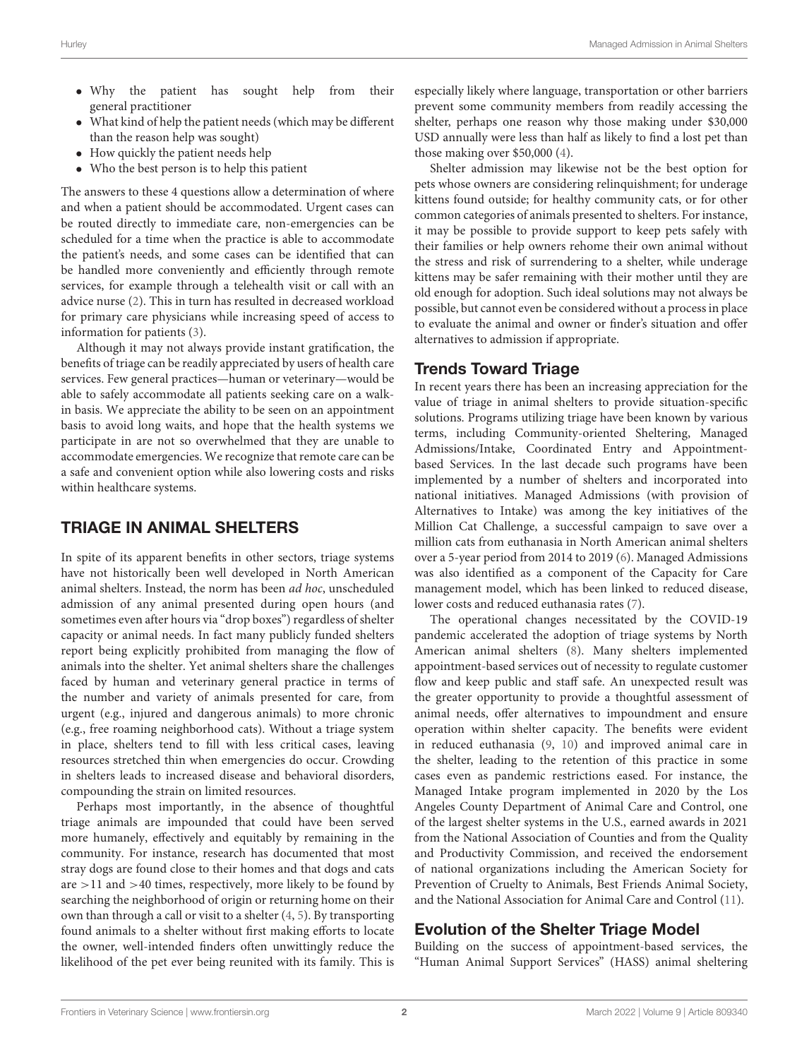- Why the patient has sought help from their general practitioner
- What kind of help the patient needs (which may be different than the reason help was sought)
- How quickly the patient needs help
- Who the best person is to help this patient

The answers to these 4 questions allow a determination of where and when a patient should be accommodated. Urgent cases can be routed directly to immediate care, non-emergencies can be scheduled for a time when the practice is able to accommodate the patient's needs, and some cases can be identified that can be handled more conveniently and efficiently through remote services, for example through a telehealth visit or call with an advice nurse [\(2\)](#page-3-1). This in turn has resulted in decreased workload for primary care physicians while increasing speed of access to information for patients [\(3\)](#page-3-2).

Although it may not always provide instant gratification, the benefits of triage can be readily appreciated by users of health care services. Few general practices—human or veterinary—would be able to safely accommodate all patients seeking care on a walkin basis. We appreciate the ability to be seen on an appointment basis to avoid long waits, and hope that the health systems we participate in are not so overwhelmed that they are unable to accommodate emergencies. We recognize that remote care can be a safe and convenient option while also lowering costs and risks within healthcare systems.

## TRIAGE IN ANIMAL SHELTERS

In spite of its apparent benefits in other sectors, triage systems have not historically been well developed in North American animal shelters. Instead, the norm has been ad hoc, unscheduled admission of any animal presented during open hours (and sometimes even after hours via "drop boxes") regardless of shelter capacity or animal needs. In fact many publicly funded shelters report being explicitly prohibited from managing the flow of animals into the shelter. Yet animal shelters share the challenges faced by human and veterinary general practice in terms of the number and variety of animals presented for care, from urgent (e.g., injured and dangerous animals) to more chronic (e.g., free roaming neighborhood cats). Without a triage system in place, shelters tend to fill with less critical cases, leaving resources stretched thin when emergencies do occur. Crowding in shelters leads to increased disease and behavioral disorders, compounding the strain on limited resources.

Perhaps most importantly, in the absence of thoughtful triage animals are impounded that could have been served more humanely, effectively and equitably by remaining in the community. For instance, research has documented that most stray dogs are found close to their homes and that dogs and cats are >11 and >40 times, respectively, more likely to be found by searching the neighborhood of origin or returning home on their own than through a call or visit to a shelter [\(4,](#page-3-3) [5\)](#page-3-4). By transporting found animals to a shelter without first making efforts to locate the owner, well-intended finders often unwittingly reduce the likelihood of the pet ever being reunited with its family. This is especially likely where language, transportation or other barriers prevent some community members from readily accessing the shelter, perhaps one reason why those making under \$30,000 USD annually were less than half as likely to find a lost pet than those making over \$50,000 [\(4\)](#page-3-3).

Shelter admission may likewise not be the best option for pets whose owners are considering relinquishment; for underage kittens found outside; for healthy community cats, or for other common categories of animals presented to shelters. For instance, it may be possible to provide support to keep pets safely with their families or help owners rehome their own animal without the stress and risk of surrendering to a shelter, while underage kittens may be safer remaining with their mother until they are old enough for adoption. Such ideal solutions may not always be possible, but cannot even be considered without a process in place to evaluate the animal and owner or finder's situation and offer alternatives to admission if appropriate.

## Trends Toward Triage

In recent years there has been an increasing appreciation for the value of triage in animal shelters to provide situation-specific solutions. Programs utilizing triage have been known by various terms, including Community-oriented Sheltering, Managed Admissions/Intake, Coordinated Entry and Appointmentbased Services. In the last decade such programs have been implemented by a number of shelters and incorporated into national initiatives. Managed Admissions (with provision of Alternatives to Intake) was among the key initiatives of the Million Cat Challenge, a successful campaign to save over a million cats from euthanasia in North American animal shelters over a 5-year period from 2014 to 2019 [\(6\)](#page-3-5). Managed Admissions was also identified as a component of the Capacity for Care management model, which has been linked to reduced disease, lower costs and reduced euthanasia rates [\(7\)](#page-3-6).

The operational changes necessitated by the COVID-19 pandemic accelerated the adoption of triage systems by North American animal shelters [\(8\)](#page-3-7). Many shelters implemented appointment-based services out of necessity to regulate customer flow and keep public and staff safe. An unexpected result was the greater opportunity to provide a thoughtful assessment of animal needs, offer alternatives to impoundment and ensure operation within shelter capacity. The benefits were evident in reduced euthanasia [\(9,](#page-3-8) [10\)](#page-3-9) and improved animal care in the shelter, leading to the retention of this practice in some cases even as pandemic restrictions eased. For instance, the Managed Intake program implemented in 2020 by the Los Angeles County Department of Animal Care and Control, one of the largest shelter systems in the U.S., earned awards in 2021 from the National Association of Counties and from the Quality and Productivity Commission, and received the endorsement of national organizations including the American Society for Prevention of Cruelty to Animals, Best Friends Animal Society, and the National Association for Animal Care and Control [\(11\)](#page-3-10).

# Evolution of the Shelter Triage Model

Building on the success of appointment-based services, the "Human Animal Support Services" (HASS) animal sheltering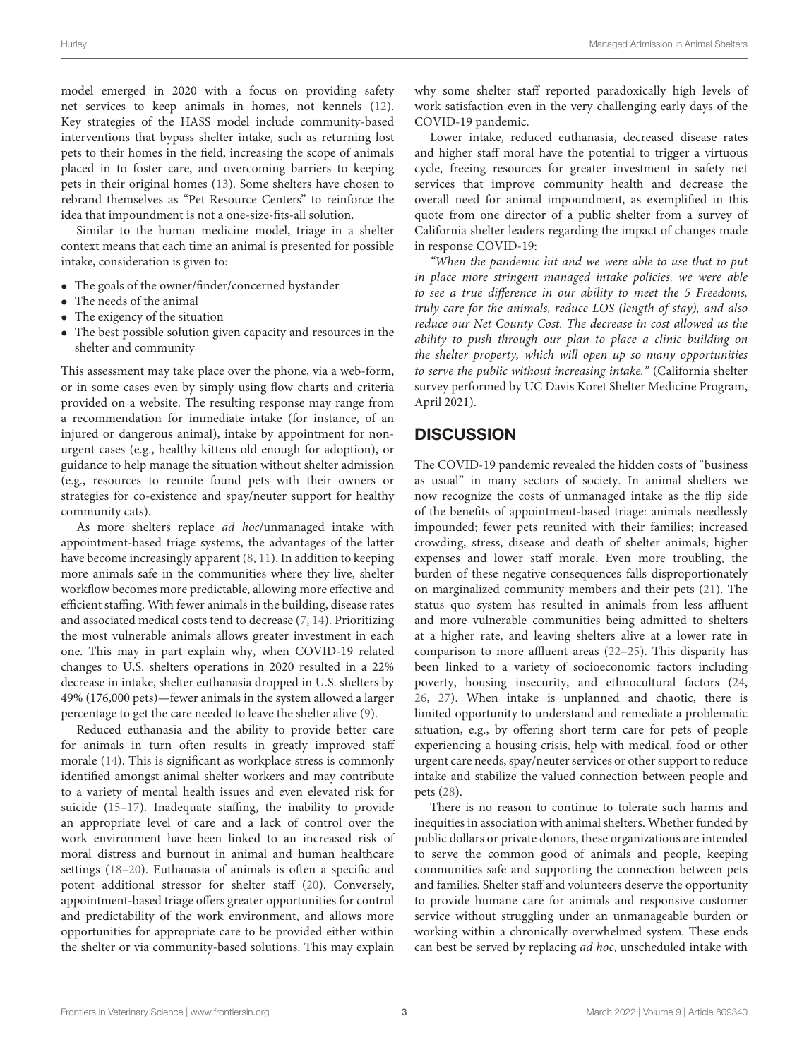model emerged in 2020 with a focus on providing safety net services to keep animals in homes, not kennels [\(12\)](#page-3-11). Key strategies of the HASS model include community-based interventions that bypass shelter intake, such as returning lost pets to their homes in the field, increasing the scope of animals placed in to foster care, and overcoming barriers to keeping pets in their original homes [\(13\)](#page-3-12). Some shelters have chosen to rebrand themselves as "Pet Resource Centers" to reinforce the idea that impoundment is not a one-size-fits-all solution.

Similar to the human medicine model, triage in a shelter context means that each time an animal is presented for possible intake, consideration is given to:

- The goals of the owner/finder/concerned bystander
- The needs of the animal
- The exigency of the situation
- The best possible solution given capacity and resources in the shelter and community

This assessment may take place over the phone, via a web-form, or in some cases even by simply using flow charts and criteria provided on a website. The resulting response may range from a recommendation for immediate intake (for instance, of an injured or dangerous animal), intake by appointment for nonurgent cases (e.g., healthy kittens old enough for adoption), or guidance to help manage the situation without shelter admission (e.g., resources to reunite found pets with their owners or strategies for co-existence and spay/neuter support for healthy community cats).

As more shelters replace ad hoc/unmanaged intake with appointment-based triage systems, the advantages of the latter have become increasingly apparent [\(8,](#page-3-7) [11\)](#page-3-10). In addition to keeping more animals safe in the communities where they live, shelter workflow becomes more predictable, allowing more effective and efficient staffing. With fewer animals in the building, disease rates and associated medical costs tend to decrease [\(7,](#page-3-6) [14\)](#page-3-13). Prioritizing the most vulnerable animals allows greater investment in each one. This may in part explain why, when COVID-19 related changes to U.S. shelters operations in 2020 resulted in a 22% decrease in intake, shelter euthanasia dropped in U.S. shelters by 49% (176,000 pets)—fewer animals in the system allowed a larger percentage to get the care needed to leave the shelter alive [\(9\)](#page-3-8).

Reduced euthanasia and the ability to provide better care for animals in turn often results in greatly improved staff morale [\(14\)](#page-3-13). This is significant as workplace stress is commonly identified amongst animal shelter workers and may contribute to a variety of mental health issues and even elevated risk for suicide [\(15–](#page-3-14)[17\)](#page-3-15). Inadequate staffing, the inability to provide an appropriate level of care and a lack of control over the work environment have been linked to an increased risk of moral distress and burnout in animal and human healthcare settings [\(18–](#page-3-16)[20\)](#page-3-17). Euthanasia of animals is often a specific and potent additional stressor for shelter staff [\(20\)](#page-3-17). Conversely, appointment-based triage offers greater opportunities for control and predictability of the work environment, and allows more opportunities for appropriate care to be provided either within the shelter or via community-based solutions. This may explain why some shelter staff reported paradoxically high levels of work satisfaction even in the very challenging early days of the COVID-19 pandemic.

Lower intake, reduced euthanasia, decreased disease rates and higher staff moral have the potential to trigger a virtuous cycle, freeing resources for greater investment in safety net services that improve community health and decrease the overall need for animal impoundment, as exemplified in this quote from one director of a public shelter from a survey of California shelter leaders regarding the impact of changes made in response COVID-19:

"When the pandemic hit and we were able to use that to put in place more stringent managed intake policies, we were able to see a true difference in our ability to meet the 5 Freedoms, truly care for the animals, reduce LOS (length of stay), and also reduce our Net County Cost. The decrease in cost allowed us the ability to push through our plan to place a clinic building on the shelter property, which will open up so many opportunities to serve the public without increasing intake." (California shelter survey performed by UC Davis Koret Shelter Medicine Program, April 2021).

## **DISCUSSION**

The COVID-19 pandemic revealed the hidden costs of "business as usual" in many sectors of society. In animal shelters we now recognize the costs of unmanaged intake as the flip side of the benefits of appointment-based triage: animals needlessly impounded; fewer pets reunited with their families; increased crowding, stress, disease and death of shelter animals; higher expenses and lower staff morale. Even more troubling, the burden of these negative consequences falls disproportionately on marginalized community members and their pets [\(21\)](#page-3-18). The status quo system has resulted in animals from less affluent and more vulnerable communities being admitted to shelters at a higher rate, and leaving shelters alive at a lower rate in comparison to more affluent areas [\(22–](#page-3-19)[25\)](#page-4-0). This disparity has been linked to a variety of socioeconomic factors including poverty, housing insecurity, and ethnocultural factors [\(24,](#page-3-20) [26,](#page-4-1) [27\)](#page-4-2). When intake is unplanned and chaotic, there is limited opportunity to understand and remediate a problematic situation, e.g., by offering short term care for pets of people experiencing a housing crisis, help with medical, food or other urgent care needs, spay/neuter services or other support to reduce intake and stabilize the valued connection between people and pets [\(28\)](#page-4-3).

There is no reason to continue to tolerate such harms and inequities in association with animal shelters. Whether funded by public dollars or private donors, these organizations are intended to serve the common good of animals and people, keeping communities safe and supporting the connection between pets and families. Shelter staff and volunteers deserve the opportunity to provide humane care for animals and responsive customer service without struggling under an unmanageable burden or working within a chronically overwhelmed system. These ends can best be served by replacing ad hoc, unscheduled intake with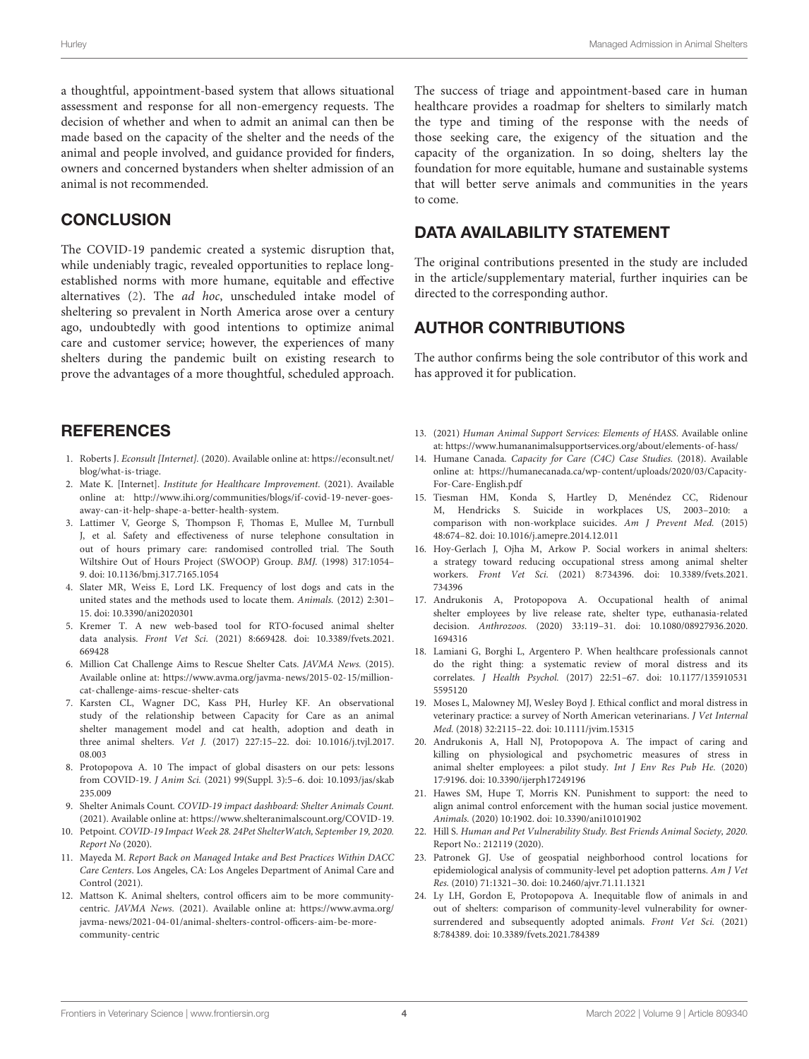a thoughtful, appointment-based system that allows situational assessment and response for all non-emergency requests. The decision of whether and when to admit an animal can then be made based on the capacity of the shelter and the needs of the animal and people involved, and guidance provided for finders, owners and concerned bystanders when shelter admission of an animal is not recommended.

#### **CONCLUSION**

The COVID-19 pandemic created a systemic disruption that, while undeniably tragic, revealed opportunities to replace longestablished norms with more humane, equitable and effective alternatives [\(2\)](#page-3-1). The ad hoc, unscheduled intake model of sheltering so prevalent in North America arose over a century ago, undoubtedly with good intentions to optimize animal care and customer service; however, the experiences of many shelters during the pandemic built on existing research to prove the advantages of a more thoughtful, scheduled approach.

## **REFERENCES**

- <span id="page-3-0"></span>1. Roberts J. Econsult [Internet]. (2020). Available online at: [https://econsult.net/](https://econsult.net/blog/what-is-triage) [blog/what-is-triage.](https://econsult.net/blog/what-is-triage)
- <span id="page-3-1"></span>2. Mate K. [Internet]. Institute for Healthcare Improvement. (2021). Available online at: [http://www.ihi.org/communities/blogs/if-covid-19-never-goes](http://www.ihi.org/communities/blogs/if-covid-19-never-goes-away-can-it-help-shape-a-better-health-system)[away-can-it-help-shape-a-better-health-system.](http://www.ihi.org/communities/blogs/if-covid-19-never-goes-away-can-it-help-shape-a-better-health-system)
- <span id="page-3-2"></span>3. Lattimer V, George S, Thompson F, Thomas E, Mullee M, Turnbull J, et al. Safety and effectiveness of nurse telephone consultation in out of hours primary care: randomised controlled trial. The South Wiltshire Out of Hours Project (SWOOP) Group. BMJ. (1998) 317:1054– 9. doi: [10.1136/bmj.317.7165.1054](https://doi.org/10.1136/bmj.317.7165.1054)
- <span id="page-3-3"></span>4. Slater MR, Weiss E, Lord LK. Frequency of lost dogs and cats in the united states and the methods used to locate them. Animals. (2012) 2:301– 15. doi: [10.3390/ani2020301](https://doi.org/10.3390/ani2020301)
- <span id="page-3-4"></span>5. Kremer T. A new web-based tool for RTO-focused animal shelter data analysis. Front Vet Sci. [\(2021\) 8:669428. doi: 10.3389/fvets.2021.](https://doi.org/10.3389/fvets.2021.669428) 669428
- <span id="page-3-5"></span>6. Million Cat Challenge Aims to Rescue Shelter Cats. JAVMA News. (2015). Available online at: [https://www.avma.org/javma-news/2015-02-15/million](https://www.avma.org/javma-news/2015-02-15/million-cat-challenge-aims-rescue-shelter-cats)[cat-challenge-aims-rescue-shelter-cats](https://www.avma.org/javma-news/2015-02-15/million-cat-challenge-aims-rescue-shelter-cats)
- <span id="page-3-6"></span>7. Karsten CL, Wagner DC, Kass PH, Hurley KF. An observational study of the relationship between Capacity for Care as an animal shelter management model and cat health, adoption and death in three animal shelters. Vet J. [\(2017\) 227:15–22. doi: 10.1016/j.tvjl.2017.](https://doi.org/10.1016/j.tvjl.2017.08.003) 08.003
- <span id="page-3-7"></span>8. Protopopova A. 10 The impact of global disasters on our pets: lessons from COVID-19. J Anim Sci. [\(2021\) 99\(Suppl. 3\):5–6. doi: 10.1093/jas/skab](https://doi.org/10.1093/jas/skab235.009) 235.009
- <span id="page-3-8"></span>9. Shelter Animals Count. COVID-19 impact dashboard: Shelter Animals Count. (2021). Available online at: [https://www.shelteranimalscount.org/COVID-19.](https://www.shelteranimalscount.org/COVID-19)
- <span id="page-3-9"></span>10. Petpoint. COVID-19 Impact Week 28. 24Pet ShelterWatch, September 19, 2020. Report No (2020).
- <span id="page-3-10"></span>11. Mayeda M. Report Back on Managed Intake and Best Practices Within DACC Care Centers. Los Angeles, CA: Los Angeles Department of Animal Care and Control (2021).
- <span id="page-3-11"></span>12. Mattson K. Animal shelters, control officers aim to be more communitycentric. JAVMA News. (2021). Available online at: [https://www.avma.org/](https://www.avma.org/javma-news/2021-04-01/animal-shelters-control-officers-aim-be-more-community-centric) [javma-news/2021-04-01/animal-shelters-control-officers-aim-be-more](https://www.avma.org/javma-news/2021-04-01/animal-shelters-control-officers-aim-be-more-community-centric)[community-centric](https://www.avma.org/javma-news/2021-04-01/animal-shelters-control-officers-aim-be-more-community-centric)

The success of triage and appointment-based care in human healthcare provides a roadmap for shelters to similarly match the type and timing of the response with the needs of those seeking care, the exigency of the situation and the capacity of the organization. In so doing, shelters lay the foundation for more equitable, humane and sustainable systems that will better serve animals and communities in the years to come.

## DATA AVAILABILITY STATEMENT

The original contributions presented in the study are included in the article/supplementary material, further inquiries can be directed to the corresponding author.

## AUTHOR CONTRIBUTIONS

The author confirms being the sole contributor of this work and has approved it for publication.

- <span id="page-3-12"></span>13. (2021) Human Animal Support Services: Elements of HASS. Available online at:<https://www.humananimalsupportservices.org/about/elements-of-hass/>
- <span id="page-3-13"></span>14. Humane Canada. Capacity for Care (C4C) Case Studies. (2018). Available online at: [https://humanecanada.ca/wp-content/uploads/2020/03/Capacity-](https://humanecanada.ca/wp-content/uploads/2020/03/Capacity-For-Care-English.pdf)[For-Care-English.pdf](https://humanecanada.ca/wp-content/uploads/2020/03/Capacity-For-Care-English.pdf)
- <span id="page-3-14"></span>15. Tiesman HM, Konda S, Hartley D, Menéndez CC, Ridenour M, Hendricks S. Suicide in workplaces US, 2003–2010: a comparison with non-workplace suicides. Am J Prevent Med. (2015) 48:674–82. doi: [10.1016/j.amepre.2014.12.011](https://doi.org/10.1016/j.amepre.2014.12.011)
- 16. Hoy-Gerlach J, Ojha M, Arkow P. Social workers in animal shelters: a strategy toward reducing occupational stress among animal shelter workers. Front Vet Sci. [\(2021\) 8:734396. doi: 10.3389/fvets.2021.](https://doi.org/10.3389/fvets.2021.734396) 734396
- <span id="page-3-15"></span>17. Andrukonis A, Protopopova A. Occupational health of animal shelter employees by live release rate, shelter type, euthanasia-related decision. Anthrozoos. [\(2020\) 33:119–31. doi: 10.1080/08927936.2020.](https://doi.org/10.1080/08927936.2020.1694316) 1694316
- <span id="page-3-16"></span>18. Lamiani G, Borghi L, Argentero P. When healthcare professionals cannot do the right thing: a systematic review of moral distress and its correlates. J Health Psychol. [\(2017\) 22:51–67. doi: 10.1177/135910531](https://doi.org/10.1177/1359105315595120) 5595120
- 19. Moses L, Malowney MJ, Wesley Boyd J. Ethical conflict and moral distress in veterinary practice: a survey of North American veterinarians. J Vet Internal Med. (2018) 32:2115–22. doi: [10.1111/jvim.15315](https://doi.org/10.1111/jvim.15315)
- <span id="page-3-17"></span>20. Andrukonis A, Hall NJ, Protopopova A. The impact of caring and killing on physiological and psychometric measures of stress in animal shelter employees: a pilot study. Int J Env Res Pub He. (2020) 17:9196. doi: [10.3390/ijerph17249196](https://doi.org/10.3390/ijerph17249196)
- <span id="page-3-18"></span>21. Hawes SM, Hupe T, Morris KN. Punishment to support: the need to align animal control enforcement with the human social justice movement. Animals. (2020) 10:1902. doi: [10.3390/ani10101902](https://doi.org/10.3390/ani10101902)
- <span id="page-3-19"></span>22. Hill S. Human and Pet Vulnerability Study. Best Friends Animal Society, 2020. Report No.: 212119 (2020).
- 23. Patronek GJ. Use of geospatial neighborhood control locations for epidemiological analysis of community-level pet adoption patterns. Am J Vet Res. (2010) 71:1321–30. doi: [10.2460/ajvr.71.11.1321](https://doi.org/10.2460/ajvr.71.11.1321)
- <span id="page-3-20"></span>24. Ly LH, Gordon E, Protopopova A. Inequitable flow of animals in and out of shelters: comparison of community-level vulnerability for ownersurrendered and subsequently adopted animals. Front Vet Sci. (2021) 8:784389. doi: [10.3389/fvets.2021.784389](https://doi.org/10.3389/fvets.2021.784389)